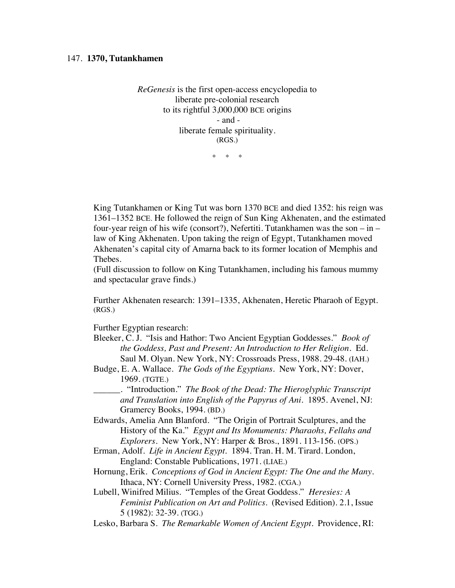*ReGenesis* is the first open-access encyclopedia to liberate pre-colonial research to its rightful 3,000,000 BCE origins - and liberate female spirituality. (RGS.)

\* \* \*

King Tutankhamen or King Tut was born 1370 BCE and died 1352: his reign was 1361–1352 BCE. He followed the reign of Sun King Akhenaten, and the estimated four-year reign of his wife (consort?), Nefertiti. Tutankhamen was the son – in – law of King Akhenaten. Upon taking the reign of Egypt, Tutankhamen moved Akhenaten's capital city of Amarna back to its former location of Memphis and Thebes.

(Full discussion to follow on King Tutankhamen, including his famous mummy and spectacular grave finds.)

Further Akhenaten research: 1391–1335, Akhenaten, Heretic Pharaoh of Egypt. (RGS.)

Further Egyptian research:

- Bleeker, C. J. "Isis and Hathor: Two Ancient Egyptian Goddesses." *Book of the Goddess, Past and Present: An Introduction to Her Religion.* Ed. Saul M. Olyan. New York, NY: Crossroads Press, 1988. 29-48. (IAH.)
- Budge, E. A. Wallace. *The Gods of the Egyptians.* New York, NY: Dover, 1969. (TGTE.)
- \_\_\_\_\_\_. "Introduction." *The Book of the Dead: The Hieroglyphic Transcript and Translation into English of the Papyrus of Ani*. 1895. Avenel, NJ: Gramercy Books, 1994. (BD.)
- Edwards, Amelia Ann Blanford. "The Origin of Portrait Sculptures, and the History of the Ka." *Egypt and Its Monuments: Pharaohs, Fellahs and Explorers*. New York, NY: Harper & Bros., 1891. 113-156. (OPS.)
- Erman, Adolf. *Life in Ancient Egypt.* 1894. Tran. H. M. Tirard. London, England: Constable Publications, 1971. (LIAE.)
- Hornung, Erik. *Conceptions of God in Ancient Egypt: The One and the Many*. Ithaca, NY: Cornell University Press, 1982. (CGA.)
- Lubell, Winifred Milius. "Temples of the Great Goddess." *Heresies: A Feminist Publication on Art and Politics.* (Revised Edition). 2.1, Issue 5 (1982): 32-39. (TGG.)
- Lesko, Barbara S. *The Remarkable Women of Ancient Egypt*. Providence, RI: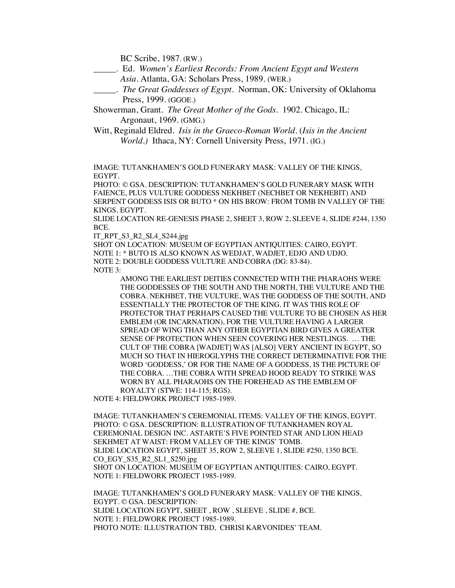BC Scribe, 1987. (RW.)

- \_\_\_\_\_. Ed. *Women's Earliest Records: From Ancient Egypt and Western Asia*. Atlanta, GA: Scholars Press, 1989. (WER.)
- \_\_\_\_\_. *The Great Goddesses of Egypt*. Norman, OK: University of Oklahoma Press, 1999. (GGOE.)
- Showerman, Grant. *The Great Mother of the Gods*. 1902. Chicago, IL: Argonaut, 1969. (GMG.)
- Witt, Reginald Eldred. *Isis in the Graeco-Roman World*. (*Isis in the Ancient World.)* Ithaca, NY: Cornell University Press, 1971. (IG.)

IMAGE: TUTANKHAMEN'S GOLD FUNERARY MASK: VALLEY OF THE KINGS, EGYPT.

PHOTO: © GSA. DESCRIPTION: TUTANKHAMEN'S GOLD FUNERARY MASK WITH FAIENCE, PLUS VULTURE GODDESS NEKHBET (NECHBET OR NEKHEBIT) AND SERPENT GODDESS ISIS OR BUTO \* ON HIS BROW: FROM TOMB IN VALLEY OF THE KINGS, EGYPT.

SLIDE LOCATION RE-GENESIS PHASE 2, SHEET 3, ROW 2, SLEEVE 4, SLIDE #244, 1350 BCE.

IT\_RPT\_S3\_R2\_SL4\_S244.jpg

SHOT ON LOCATION: MUSEUM OF EGYPTIAN ANTIQUITIES: CAIRO, EGYPT. NOTE 1: \* BUTO IS ALSO KNOWN AS WEDJAT, WADJET, EDJO AND UDJO. NOTE 2: DOUBLE GODDESS VULTURE AND COBRA (DG: 83-84). NOTE 3:

AMONG THE EARLIEST DEITIES CONNECTED WITH THE PHARAOHS WERE THE GODDESSES OF THE SOUTH AND THE NORTH, THE VULTURE AND THE COBRA. NEKHBET, THE VULTURE, WAS THE GODDESS OF THE SOUTH, AND ESSENTIALLY THE PROTECTOR OF THE KING. IT WAS THIS ROLE OF PROTECTOR THAT PERHAPS CAUSED THE VULTURE TO BE CHOSEN AS HER EMBLEM (OR INCARNATION), FOR THE VULTURE HAVING A LARGER SPREAD OF WING THAN ANY OTHER EGYPTIAN BIRD GIVES A GREATER SENSE OF PROTECTION WHEN SEEN COVERING HER NESTLINGS. … THE CULT OF THE COBRA [WADJET] WAS [ALSO] VERY ANCIENT IN EGYPT, SO MUCH SO THAT IN HIEROGLYPHS THE CORRECT DETERMINATIVE FOR THE WORD 'GODDESS,' OR FOR THE NAME OF A GODDESS, IS THE PICTURE OF THE COBRA. …THE COBRA WITH SPREAD HOOD READY TO STRIKE WAS WORN BY ALL PHARAOHS ON THE FOREHEAD AS THE EMBLEM OF ROYALTY (STWE: 114-115; RGS).

NOTE 4: FIELDWORK PROJECT 1985-1989.

IMAGE: TUTANKHAMEN'S CEREMONIAL ITEMS: VALLEY OF THE KINGS, EGYPT. PHOTO: © GSA. DESCRIPTION: ILLUSTRATION OF TUTANKHAMEN ROYAL CEREMONIAL DESIGN INC. ASTARTE'S FIVE POINTED STAR AND LION HEAD SEKHMET AT WAIST: FROM VALLEY OF THE KINGS' TOMB. SLIDE LOCATION EGYPT, SHEET 35, ROW 2, SLEEVE 1, SLIDE #250, 1350 BCE. CO\_EGY\_S35\_R2\_SL1\_S250.jpg SHOT ON LOCATION: MUSEUM OF EGYPTIAN ANTIQUITIES: CAIRO, EGYPT. NOTE 1: FIELDWORK PROJECT 1985-1989.

IMAGE: TUTANKHAMEN'S GOLD FUNERARY MASK: VALLEY OF THE KINGS, EGYPT. © GSA. DESCRIPTION: SLIDE LOCATION EGYPT, SHEET , ROW , SLEEVE , SLIDE #, BCE. NOTE 1: FIELDWORK PROJECT 1985-1989. PHOTO NOTE: ILLUSTRATION TBD, CHRISI KARVONIDES' TEAM.